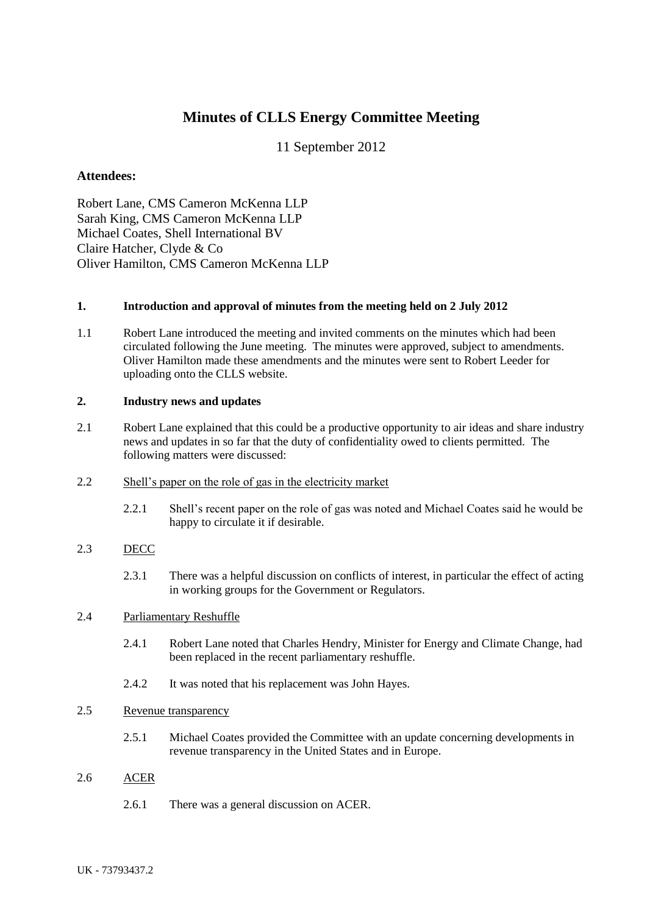# **Minutes of CLLS Energy Committee Meeting**

11 September 2012

## **Attendees:**

Robert Lane, CMS Cameron McKenna LLP Sarah King, CMS Cameron McKenna LLP Michael Coates, Shell International BV Claire Hatcher, Clyde & Co Oliver Hamilton, CMS Cameron McKenna LLP

#### **1. Introduction and approval of minutes from the meeting held on 2 July 2012**

1.1 Robert Lane introduced the meeting and invited comments on the minutes which had been circulated following the June meeting. The minutes were approved, subject to amendments. Oliver Hamilton made these amendments and the minutes were sent to Robert Leeder for uploading onto the CLLS website.

#### **2. Industry news and updates**

- 2.1 Robert Lane explained that this could be a productive opportunity to air ideas and share industry news and updates in so far that the duty of confidentiality owed to clients permitted. The following matters were discussed:
- 2.2 Shell's paper on the role of gas in the electricity market
	- 2.2.1 Shell's recent paper on the role of gas was noted and Michael Coates said he would be happy to circulate it if desirable.

### 2.3 DECC

2.3.1 There was a helpful discussion on conflicts of interest, in particular the effect of acting in working groups for the Government or Regulators.

#### 2.4 Parliamentary Reshuffle

- 2.4.1 Robert Lane noted that Charles Hendry, Minister for Energy and Climate Change, had been replaced in the recent parliamentary reshuffle.
- 2.4.2 It was noted that his replacement was John Hayes.

#### 2.5 Revenue transparency

2.5.1 Michael Coates provided the Committee with an update concerning developments in revenue transparency in the United States and in Europe.

#### 2.6 ACER

2.6.1 There was a general discussion on ACER.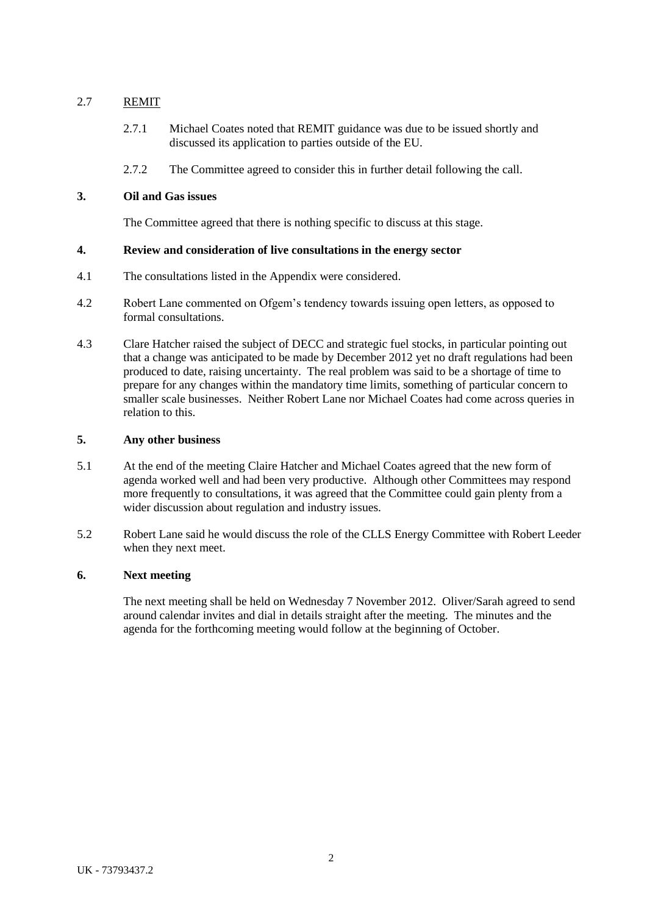# 2.7 REMIT

- 2.7.1 Michael Coates noted that REMIT guidance was due to be issued shortly and discussed its application to parties outside of the EU.
- 2.7.2 The Committee agreed to consider this in further detail following the call.

## **3. Oil and Gas issues**

The Committee agreed that there is nothing specific to discuss at this stage.

## **4. Review and consideration of live consultations in the energy sector**

- 4.1 The consultations listed in the Appendix were considered.
- 4.2 Robert Lane commented on Ofgem's tendency towards issuing open letters, as opposed to formal consultations.
- 4.3 Clare Hatcher raised the subject of DECC and strategic fuel stocks, in particular pointing out that a change was anticipated to be made by December 2012 yet no draft regulations had been produced to date, raising uncertainty. The real problem was said to be a shortage of time to prepare for any changes within the mandatory time limits, something of particular concern to smaller scale businesses. Neither Robert Lane nor Michael Coates had come across queries in relation to this.

### **5. Any other business**

- 5.1 At the end of the meeting Claire Hatcher and Michael Coates agreed that the new form of agenda worked well and had been very productive. Although other Committees may respond more frequently to consultations, it was agreed that the Committee could gain plenty from a wider discussion about regulation and industry issues.
- 5.2 Robert Lane said he would discuss the role of the CLLS Energy Committee with Robert Leeder when they next meet.

# **6. Next meeting**

The next meeting shall be held on Wednesday 7 November 2012. Oliver/Sarah agreed to send around calendar invites and dial in details straight after the meeting. The minutes and the agenda for the forthcoming meeting would follow at the beginning of October.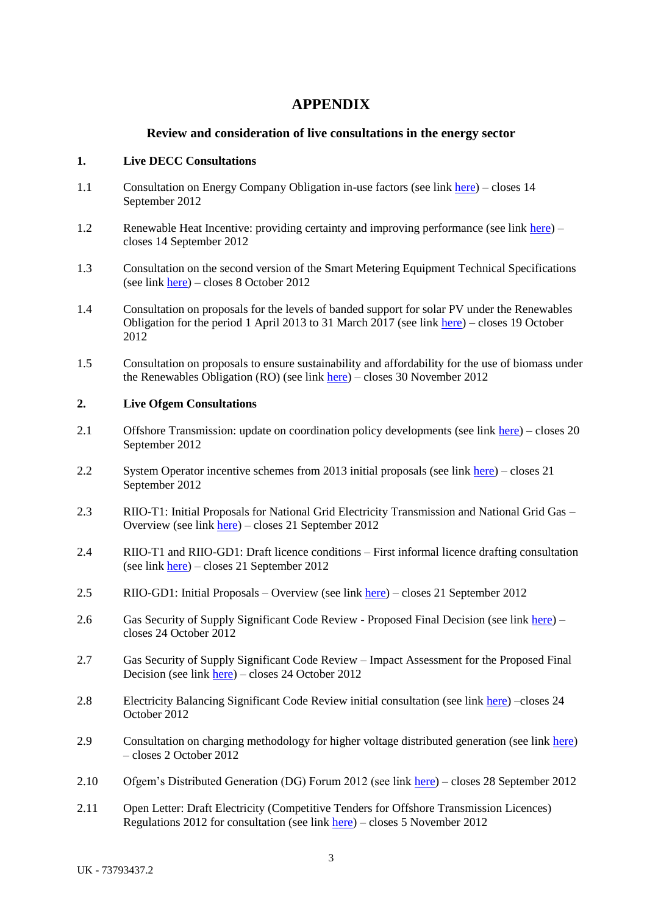# **APPENDIX**

# **Review and consideration of live consultations in the energy sector**

## **1. Live DECC Consultations**

- 1.1 Consultation on Energy Company Obligation in-use factors (see lin[k here\)](http://www.decc.gov.uk/en/content/cms/consultations/eco_inuse/eco_inuse.aspx) closes 14 September 2012
- 1.2 Renewable Heat Incentive: providing certainty and improving performance (see link [here\)](http://www.decc.gov.uk/en/content/cms/consultations/rhi_cert_perf/rhi_cert_perf.aspx) closes 14 September 2012
- 1.3 Consultation on the second version of the Smart Metering Equipment Technical Specifications (see lin[k here\)](http://www.decc.gov.uk/en/content/cms/consultations/smets2cons/smets2cons.aspx) – closes 8 October 2012
- 1.4 Consultation on proposals for the levels of banded support for solar PV under the Renewables Obligation for the period 1 April 2013 to 31 March 2017 (see link [here\)](http://www.decc.gov.uk/en/content/cms/consultations/ro_solarpv/ro_solarpv.aspx) – closes 19 October 2012
- 1.5 Consultation on proposals to ensure sustainability and affordability for the use of biomass under the Renewables Obligation (RO) (see link [here\)](http://www.decc.gov.uk/en/content/cms/consultations/biomass_ro/biomass_ro.aspx) – closes 30 November 2012

## **2. Live Ofgem Consultations**

- 2.1 Offshore Transmission: update on coordination policy developments (see link [here\)](http://www.ofgem.gov.uk/Pages/MoreInformation.aspx?file=201207_Coordination%20open%20letter%20Final.pdf&refer=Networks/offtrans/pdc/cdr/2012) closes 20 September 2012
- 2.2 System Operator incentive schemes from 2013 initial proposals (see link [here\)](http://www.ofgem.gov.uk/Pages/MoreInformation.aspx?file=IP%20SO%202013.pdf&refer=Markets/WhlMkts/EffSystemOps/SystOpIncent) closes 21 September 2012
- 2.3 RIIO-T1: Initial Proposals for National Grid Electricity Transmission and National Grid Gas Overview (see link [here\)](http://www.ofgem.gov.uk/Pages/MoreInformation.aspx?file=RIIO%20T1%20Initial%20Proposals%20for%20NGGT%20and%20NGET%20Overview%202707212.pdf&refer=Networks/Trans/PriceControls/RIIO-T1/ConRes) – closes 21 September 2012
- 2.4 RIIO-T1 and RIIO-GD1: Draft licence conditions First informal licence drafting consultation (see lin[k here\)](http://www.ofgem.gov.uk/Pages/MoreInformation.aspx?file=RIIOT1%20and%20GD1%20Draft%20licence%20conditions%20First%20informal%20licence%20drafting%20consultation.pdf&refer=Networks/Trans/PriceControls/RIIO-T1/ConRes) – closes 21 September 2012
- 2.5 RIIO-GD1: Initial Proposals Overview (see link [here\)](http://www.ofgem.gov.uk/Pages/MoreInformation.aspx?file=GD1%20Initial%20Proposals%20Overview%2027July12.pdf&refer=Networks/GasDistr/RIIO-GD1/ConRes) closes 21 September 2012
- 2.6 Gas Security of Supply Significant Code Review Proposed Final Decision (see link [here\)](http://www.ofgem.gov.uk/Pages/MoreInformation.aspx?file=120731_GasSCR_pfd.pdf&refer=Markets/WhlMkts/CompandEff/GasSCR) closes 24 October 2012
- 2.7 Gas Security of Supply Significant Code Review Impact Assessment for the Proposed Final Decision (see link [here\)](http://www.ofgem.gov.uk/Pages/MoreInformation.aspx?file=120731_GasSCR_IA.pdf&refer=Markets/WhlMkts/CompandEff/GasSCR) – closes 24 October 2012
- 2.8 Electricity Balancing Significant Code Review initial consultation (see link [here\)](http://www.ofgem.gov.uk/Pages/MoreInformation.aspx?file=Electricity%20Balancing%20SCR%20initial%20consultation.pdf&refer=Markets/WhlMkts/CompandEff/electricity-balancing-scr) –closes 24 October 2012
- 2.9 Consultation on charging methodology for higher voltage distributed generation (see link [here\)](http://www.ofgem.gov.uk/Pages/MoreInformation.aspx?file=EDCM%20for%20export%20-%20Aug-12%20consultation.pdf&refer=Networks/ElecDist/Policy/DistChrgs) – closes 2 October 2012
- 2.10 Ofgem's Distributed Generation (DG) Forum 2012 (see link [here\)](http://www.ofgem.gov.uk/Pages/MoreInformation.aspx?file=Open_letter_DG_Forum_170812.pdf&refer=Networks/ElecDist/Policy/DistGen) closes 28 September 2012
- 2.11 Open Letter: Draft Electricity (Competitive Tenders for Offshore Transmission Licences) Regulations 2012 for consultation (see link [here\)](http://www.ofgem.gov.uk/Pages/MoreInformation.aspx?file=Open%20Letter%20-%20Draft%20Tender%20Regulations%202012%20for%20consultation.pdf&refer=Networks/offtrans/pdc/cdr/2012) – closes 5 November 2012